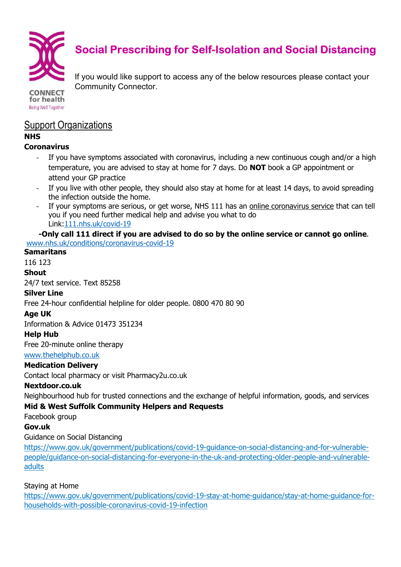

# Social Prescribing for Self-Isolation and Social Distancing

**CONNECT** for health Being Well Together If you would like support to access any of the below resources please contact your Community Connector.

# Support Organizations

#### NHS

#### **Coronavirus**

- If you have symptoms associated with coronavirus, including a new continuous cough and/or a high temperature, you are advised to stay at home for 7 days. Do **NOT** book a GP appointment or attend your GP practice
- If you live with other people, they should also stay at home for at least 14 days, to avoid spreading the infection outside the home.
- If your symptoms are serious, or get worse, NHS 111 has an online coronavirus service that can tell you if you need further medical help and advise you what to do Link:111.nhs.uk/covid-19

#### -Only call 111 direct if you are advised to do so by the online service or cannot go online. www.nhs.uk/conditions/coronavirus-covid-19

#### **Samaritans**

116 123

#### Shout

24/7 text service. Text 85258

#### Silver Line

Free 24-hour confidential helpline for older people. 0800 470 80 90 Free 24-hour confidential helpline for older people. 0800 470 80<br>**Age UK**<br>Information & Advice 01473 351234<br>**Help Hub**<br>Free 20-minute online therapy<br>www.thehelphub.co.uk<br>**Medication Delivery**<br>Contact local pharmacy or visi

#### Age UK

Information & Advice 01473 351234

#### Help Hub

Free 20-minute online therapy

#### www.thehelphub.co.uk

#### Medication Delivery

Contact local pharmacy or visit Pharmacy2u.co.uk

#### Nextdoor.co.uk

Neighbourhood hub for trusted connections and the exchange of helpful information, goods, and services

#### Mid & West Suffolk Community Helpers and Requests & West Suffolk Community

Facebook group

#### Gov.uk

#### Guidance on Social Distancing

https://www.gov.uk/government/publications/covid-19-guidance-on-social-distancing-and-for-vulnerablepeople/guidance-on-social-distancing-for-everyone-in-the-uk-and-protecting-older-people-and-vulnerableadults

#### Staying at Home

https://www.gov.uk/government/publications/covid-19-stay-at-home-guidance/stay-at-home-guidance-forhouseholds-with-possible-coronavirus coronavirus-covid-19-infection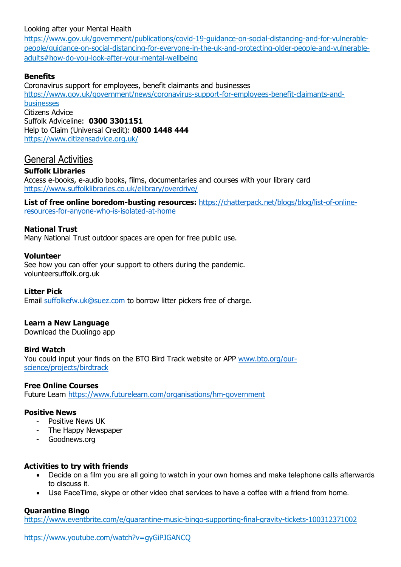#### Looking after your Mental Health

https://www.gov.uk/government/publications/covid-19-guidance-on-social-distancing-and-for-vulnerablepeople/guidance-on-social-distancing-for-everyone-in-the-uk-and-protecting-older-people-and-vulnerableadults#how-do-you-look-after-your-mental-wellbeing

#### Benefits

Coronavirus support for employees, benefit claimants and businesses https://www.gov.uk/government/news/coronavirus-support-for-employees-benefit-claimants-andbusinesses Citizens Advice Suffolk Adviceline: 0300 3301151 Help to Claim (Universal Credit): 0800 1448 444 https://www.citizensadvice.org.uk/

# General Activities

#### Suffolk Libraries

Access e-books, e-audio books, films, documentaries and courses with your library card https://www.suffolklibraries.co.uk/elibrary/overdrive/

List of free online boredom-busting resources: https://chatterpack.net/blogs/blog/list-of-onlineresources-for-anyone-who-is-isolated-at-home

#### National Trust

Many National Trust outdoor spaces are open for free public use.

#### Volunteer

See how you can offer your support to others during the pandemic. volunteersuffolk.org.uk

Litter Pick

Email suffolkefw.uk@suez.com to borrow litter pickers free of charge.

#### Learn a New Language

Download the Duolingo app

#### Bird Watch

You could input your finds on the BTO Bird Track website or APP www.bto.org/ourscience/projects/birdtrack

#### Free Online Courses

Future Learn https://www.futurelearn.com/organisations/hm-government

#### Positive News

- Positive News UK
- The Happy Newspaper
- Goodnews.org

#### Activities to try with friends

- Decide on a film you are all going to watch in your own homes and make telephone calls afterwards to discuss it.
- Use FaceTime, skype or other video chat services to have a coffee with a friend from home.

#### Quarantine Bingo

https://www.eventbrite.com/e/quarantine-music-bingo-supporting-final-gravity-tickets-100312371002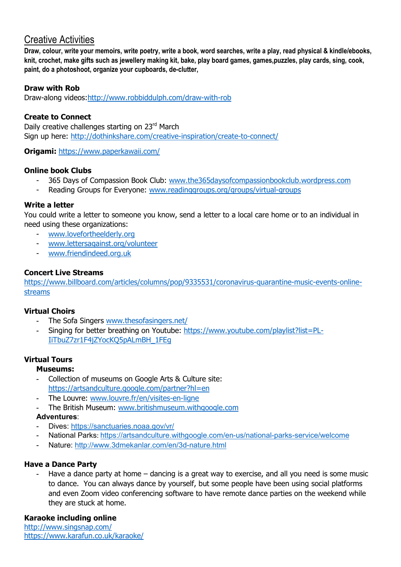# Creative Activities

Draw, colour, write your memoirs, write poetry, write a book, word searches, write a play, read physical & kindle/ebooks, knit, crochet, make gifts such as jewellery making kit, bake, play board games, games,puzzles, play cards, sing, cook, paint, do a photoshoot, organize your cupboards, de-clutter,

#### Draw with Rob

Draw-along videos:http://www.robbiddulph.com/draw-with-rob

#### Create to Connect

Daily creative challenges starting on 23rd March Sign up here: http://dothinkshare.com/creative-inspiration/create-to-connect/

Origami: https://www.paperkawaii.com/

#### Online book Clubs

- 365 Days of Compassion Book Club: www.the365daysofcompassionbookclub.wordpress.com
- Reading Groups for Everyone: www.readinggroups.org/groups/virtual-groups

#### Write a letter

You could write a letter to someone you know, send a letter to a local care home or to an individual in need using these organizations:

- www.lovefortheelderly.org
- www.lettersagainst.org/volunteer
- www.friendindeed.org.uk

#### Concert Live Streams

https://www.billboard.com/articles/columns/pop/9335531/coronavirus-quarantine-music-events-onlinestreams

#### Virtual Choirs

- The Sofa Singers www.thesofasingers.net/
- Singing for better breathing on Youtube: https://www.youtube.com/playlist?list=PL-IiTbuZ7zr1F4jZYocKQ5pALmBH\_1FEg

#### Virtual Tours

#### Museums:

- Collection of museums on Google Arts & Culture site: https://artsandculture.google.com/partner?hl=en
- The Louvre: www.louvre.fr/en/visites-en-ligne
- The British Museum: www.britishmuseum.withgoogle.com

#### Adventures:

- Dives: https://sanctuaries.noaa.gov/vr/
- National Parks: https://artsandculture.withgoogle.com/en-us/national-parks-service/welcome
- Nature: http://www.3dmekanlar.com/en/3d-nature.html

#### Have a Dance Party

Have a dance party at home – dancing is a great way to exercise, and all you need is some music to dance. You can always dance by yourself, but some people have been using social platforms and even Zoom video conferencing software to have remote dance parties on the weekend while they are stuck at home.

#### Karaoke including online

http://www.singsnap.com/ https://www.karafun.co.uk/karaoke/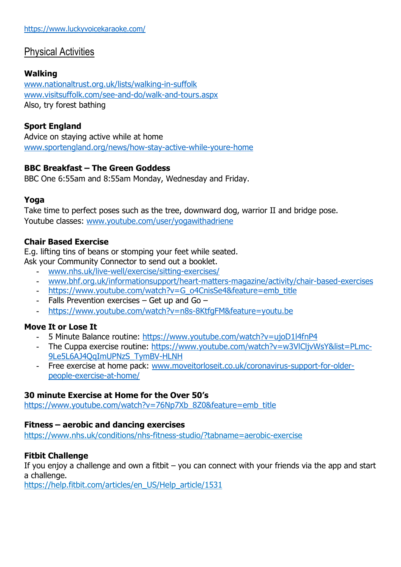# Physical Activities

# Walking

www.nationaltrust.org.uk/lists/walking-in-suffolk www.visitsuffolk.com/see-and-do/walk-and-tours.aspx Also, try forest bathing

# Sport England

Advice on staying active while at home www.sportengland.org/news/how-stay-active-while-youre-home

# BBC Breakfast – The Green Goddess

BBC One 6:55am and 8:55am Monday, Wednesday and Friday.

# Yoga

Take time to perfect poses such as the tree, downward dog, warrior II and bridge pose. Youtube classes: www.youtube.com/user/yogawithadriene

# Chair Based Exercise

E.g. lifting tins of beans or stomping your feet while seated.

Ask your Community Connector to send out a booklet.

- www.nhs.uk/live-well/exercise/sitting-exercises/
- www.bhf.org.uk/informationsupport/heart-matters-magazine/activity/chair-based-exercises
- https://www.youtube.com/watch?v=G\_o4CnisSe4&feature=emb\_title
- Falls Prevention exercises Get up and Go –
- https://www.youtube.com/watch?v=n8s-8KtfgFM&feature=youtu.be

# Move It or Lose It

- 5 Minute Balance routine: https://www.youtube.com/watch?v=ujoD1l4fnP4
- The Cuppa exercise routine: https://www.youtube.com/watch?v=w3VlCljvWsY&list=PLmc-9Le5L6AJ4QqImUPNzS\_TymBV-HLNH
- Free exercise at home pack: www.moveitorloseit.co.uk/coronavirus-support-for-olderpeople-exercise-at-home/

# 30 minute Exercise at Home for the Over 50's

https://www.youtube.com/watch?v=76Np7Xb\_8Z0&feature=emb\_title

# Fitness – aerobic and dancing exercises

https://www.nhs.uk/conditions/nhs-fitness-studio/?tabname=aerobic-exercise

# Fitbit Challenge

If you enjoy a challenge and own a fitbit  $-$  you can connect with your friends via the app and start a challenge.

https://help.fitbit.com/articles/en\_US/Help\_article/1531